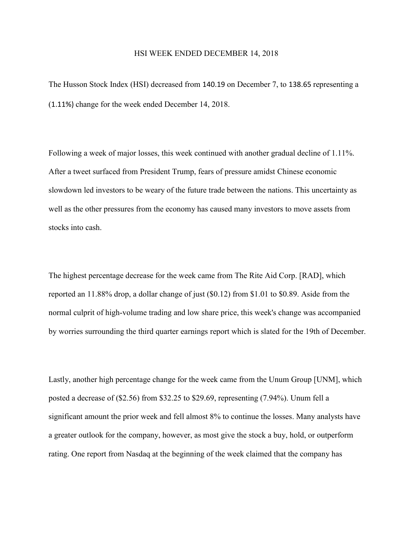## HSI WEEK ENDED DECEMBER 14, 2018

The Husson Stock Index (HSI) decreased from 140.19 on December 7, to 138.65 representing a (1.11%) change for the week ended December 14, 2018.

Following a week of major losses, this week continued with another gradual decline of 1.11%. After a tweet surfaced from President Trump, fears of pressure amidst Chinese economic slowdown led investors to be weary of the future trade between the nations. This uncertainty as well as the other pressures from the economy has caused many investors to move assets from stocks into cash.

The highest percentage decrease for the week came from The Rite Aid Corp. [RAD], which reported an 11.88% drop, a dollar change of just (\$0.12) from \$1.01 to \$0.89. Aside from the normal culprit of high-volume trading and low share price, this week's change was accompanied by worries surrounding the third quarter earnings report which is slated for the 19th of December.

Lastly, another high percentage change for the week came from the Unum Group [UNM], which posted a decrease of (\$2.56) from \$32.25 to \$29.69, representing (7.94%). Unum fell a significant amount the prior week and fell almost 8% to continue the losses. Many analysts have a greater outlook for the company, however, as most give the stock a buy, hold, or outperform rating. One report from Nasdaq at the beginning of the week claimed that the company has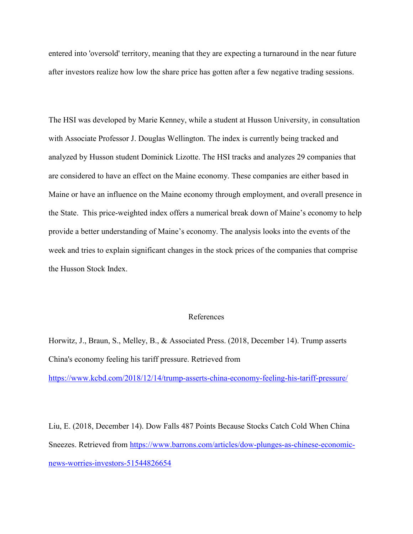entered into 'oversold' territory, meaning that they are expecting a turnaround in the near future after investors realize how low the share price has gotten after a few negative trading sessions.

The HSI was developed by Marie Kenney, while a student at Husson University, in consultation with Associate Professor J. Douglas Wellington. The index is currently being tracked and analyzed by Husson student Dominick Lizotte. The HSI tracks and analyzes 29 companies that are considered to have an effect on the Maine economy. These companies are either based in Maine or have an influence on the Maine economy through employment, and overall presence in the State. This price-weighted index offers a numerical break down of Maine's economy to help provide a better understanding of Maine's economy. The analysis looks into the events of the week and tries to explain significant changes in the stock prices of the companies that comprise the Husson Stock Index.

## References

Horwitz, J., Braun, S., Melley, B., & Associated Press. (2018, December 14). Trump asserts China's economy feeling his tariff pressure. Retrieved from <https://www.kcbd.com/2018/12/14/trump-asserts-china-economy-feeling-his-tariff-pressure/>

Liu, E. (2018, December 14). Dow Falls 487 Points Because Stocks Catch Cold When China Sneezes. Retrieved from [https://www.barrons.com/articles/dow-plunges-as-chinese-economic](https://www.barrons.com/articles/dow-plunges-as-chinese-economic-news-worries-investors-51544826654)[news-worries-investors-51544826654](https://www.barrons.com/articles/dow-plunges-as-chinese-economic-news-worries-investors-51544826654)